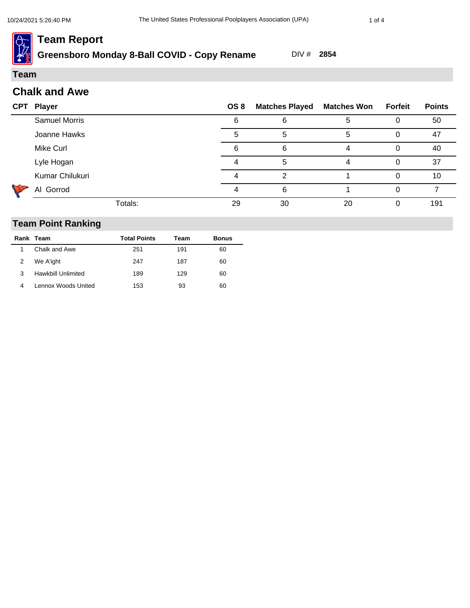# **Greensboro Monday 8-Ball COVID - Copy Rename** DIV # **2854**

### **Team**

 $\hat{\sigma}$ 

| <b>Chalk and Awe</b> |  |  |
|----------------------|--|--|
|----------------------|--|--|

| <b>CPT Player</b>    | OS 8 | <b>Matches Played Matches Won Forfeit</b> |    |   | <b>Points</b> |
|----------------------|------|-------------------------------------------|----|---|---------------|
| <b>Samuel Morris</b> | 6    | h                                         |    |   | 50            |
| Joanne Hawks         | 5    | 5                                         | 5  |   | 47            |
| Mike Curl            | 6    | 6                                         | Δ  |   | 40            |
| Lyle Hogan           |      | 5                                         |    |   | 37            |
| Kumar Chilukuri      |      |                                           |    | O | 10            |
| Al Gorrod            |      | 6                                         |    | O |               |
| Totals:              | 29   | 30                                        | 20 |   | 191           |

|   | Rank Team                 | <b>Total Points</b> | Team | <b>Bonus</b> |
|---|---------------------------|---------------------|------|--------------|
|   | Chalk and Awe             | 251                 | 191  | 60           |
|   | We A'ight                 | 247                 | 187  | 60           |
| 3 | <b>Hawkbill Unlimited</b> | 189                 | 129  | 60           |
| 4 | Lennox Woods United       | 153                 | 93   | 60           |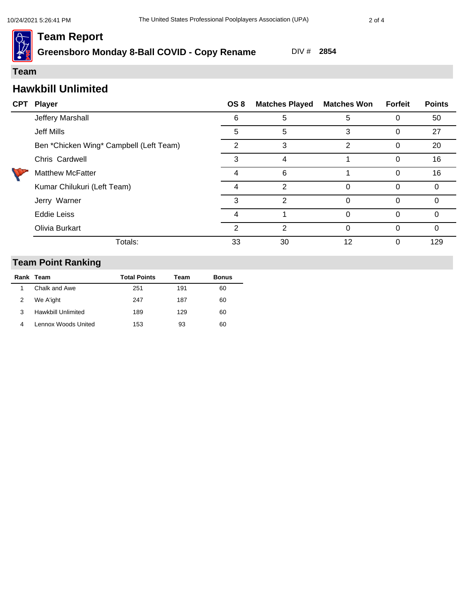**Greensboro Monday 8-Ball COVID - Copy Rename** DIV # **2854**

#### **Team**

## **Hawkbill Unlimited**

| <b>CPT</b> | Player                                  | OS 8          | <b>Matches Played</b> | <b>Matches Won</b> | <b>Forfeit</b> | <b>Points</b> |
|------------|-----------------------------------------|---------------|-----------------------|--------------------|----------------|---------------|
|            | Jeffery Marshall                        | 6             | 5                     | 5                  | 0              | 50            |
|            | Jeff Mills                              | 5             | 5                     | 3                  | 0              | 27            |
|            | Ben *Chicken Wing* Campbell (Left Team) | 2             | 3                     | $\overline{2}$     | 0              | 20            |
|            | Chris Cardwell                          | 3             | 4                     |                    | 0              | 16            |
|            | <b>Matthew McFatter</b>                 |               | 6                     |                    | 0              | 16            |
|            | Kumar Chilukuri (Left Team)             | 4             | 2                     | 0                  | 0              | 0             |
|            | Jerry Warner                            | 3             | 2                     | $\Omega$           | 0              | $\Omega$      |
|            | <b>Eddie Leiss</b>                      | 4             |                       | 0                  | 0              | 0             |
|            | Olivia Burkart                          | $\mathcal{P}$ | 2                     | $\Omega$           | 0              | 0             |
|            | Totals:                                 | 33            | 30                    | 12                 |                | 129           |

|   | Rank Team                 | <b>Total Points</b> | Team | <b>Bonus</b> |
|---|---------------------------|---------------------|------|--------------|
|   | Chalk and Awe             | 251                 | 191  | 60           |
|   | We A'ight                 | 247                 | 187  | 60           |
|   | <b>Hawkbill Unlimited</b> | 189                 | 129  | 60           |
| 4 | Lennox Woods United       | 153                 | 93   | 60           |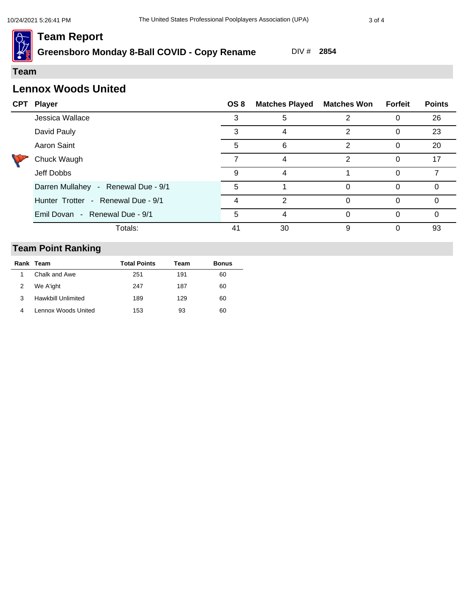**Greensboro Monday 8-Ball COVID - Copy Rename** DIV # **2854**

#### **Team**

 $\overline{\phantom{0}}$ 

## **Lennox Woods United**

| <b>CPT</b> | <b>Player</b>                       | OS 8 | <b>Matches Played</b> | <b>Matches Won</b> | Forfeit | <b>Points</b> |
|------------|-------------------------------------|------|-----------------------|--------------------|---------|---------------|
|            | Jessica Wallace                     | 3    | 5                     | 2                  | 0       | 26            |
|            | David Pauly                         | 3    |                       | 2                  | 0       | 23            |
|            | Aaron Saint                         | 5    | 6                     | 2                  | 0       | 20            |
|            | Chuck Waugh                         |      |                       | $\mathcal{P}$      | 0       | 17            |
|            | Jeff Dobbs                          | 9    |                       |                    |         |               |
|            | Darren Mullahey - Renewal Due - 9/1 | 5    |                       | $\Omega$           | 0       | $\Omega$      |
|            | Hunter Trotter - Renewal Due - 9/1  | 4    | $\mathcal{P}$         | 0                  | 0       | 0             |
|            | Emil Dovan - Renewal Due - 9/1      | 5    | 4                     | $\Omega$           | 0       | $\Omega$      |
|            | Totals:                             | 41   | 30                    | 9                  | 0       | 93            |

|   | Rank Team                 | <b>Total Points</b> | Team | <b>Bonus</b> |
|---|---------------------------|---------------------|------|--------------|
|   | Chalk and Awe             | 251                 | 191  | 60           |
|   | We A'ight                 | 247                 | 187  | 60           |
| 3 | <b>Hawkbill Unlimited</b> | 189                 | 129  | 60           |
| 4 | Lennox Woods United       | 153                 | 93   | 60           |